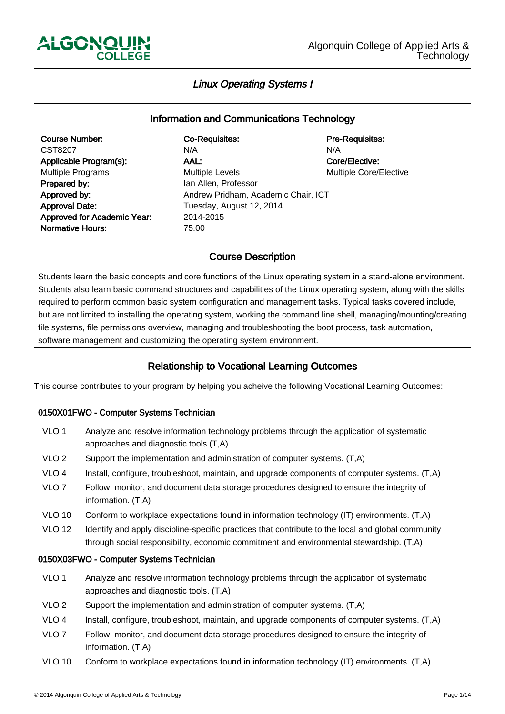-

ـا<br>ا

# Linux Operating Systems I

# Information and Communications Technology

| <b>Course Number:</b>       | <b>Co-Requisites:</b>               | <b>Pre-Requisites:</b> |  |
|-----------------------------|-------------------------------------|------------------------|--|
| CST8207                     | N/A                                 | N/A                    |  |
| Applicable Program(s):      | AAL:                                | Core/Elective:         |  |
| <b>Multiple Programs</b>    | <b>Multiple Levels</b>              | Multiple Core/Elective |  |
| Prepared by:                | Ian Allen, Professor                |                        |  |
| Approved by:                | Andrew Pridham, Academic Chair, ICT |                        |  |
| <b>Approval Date:</b>       | Tuesday, August 12, 2014            |                        |  |
| Approved for Academic Year: | 2014-2015                           |                        |  |
| <b>Normative Hours:</b>     | 75.00                               |                        |  |
|                             |                                     |                        |  |

#### Course Description ľ

Students learn the basic concepts and core functions of the Linux operating system in a stand-alone environment. Students also learn basic command structures and capabilities of the Linux operating system, along with the skills required to perform common basic system configuration and management tasks. Typical tasks covered include, but are not limited to installing the operating system, working the command line shell, managing/mounting/creating file systems, file permissions overview, managing and troubleshooting the boot process, task automation, software management and customizing the operating system environment.

#### Relationship to Vocational Learning Outcomes Ï

This course contributes to your program by helping you acheive the following Vocational Learning Outcomes:

# 0150X01FWO - Computer Systems Technician VLO 1 Analyze and resolve information technology problems through the application of systematic approaches and diagnostic tools (T,A) VLO 2 Support the implementation and administration of computer systems. (T,A) VLO 4 Install, configure, troubleshoot, maintain, and upgrade components of computer systems. (T,A) VLO 7 Follow, monitor, and document data storage procedures designed to ensure the integrity of information. (T,A) VLO 10 Conform to workplace expectations found in information technology (IT) environments. (T,A) VLO 12 Identify and apply discipline-specific practices that contribute to the local and global community through social responsibility, economic commitment and environmental stewardship. (T,A) 0150X03FWO - Computer Systems Technician VLO 1 Analyze and resolve information technology problems through the application of systematic approaches and diagnostic tools. (T,A) VLO 2 Support the implementation and administration of computer systems. (T,A) VLO 4 Install, configure, troubleshoot, maintain, and upgrade components of computer systems. (T,A) VLO 7 Follow, monitor, and document data storage procedures designed to ensure the integrity of information. (T,A) VLO 10 Conform to workplace expectations found in information technology (IT) environments. (T,A)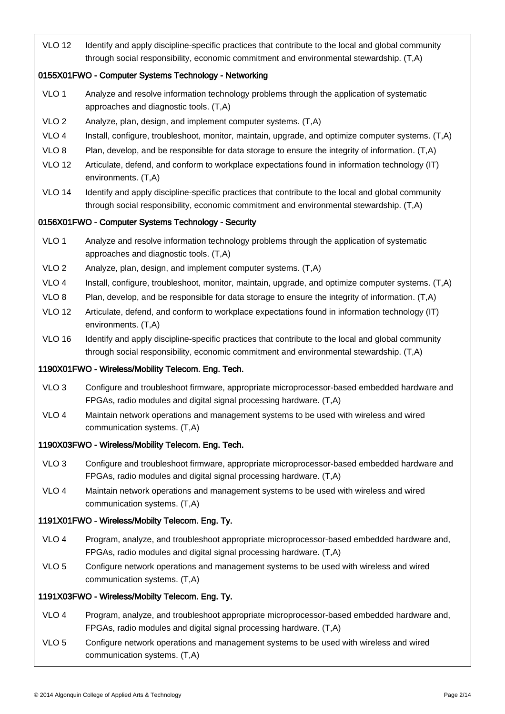VLO 12 Identify and apply discipline-specific practices that contribute to the local and global community through social responsibility, economic commitment and environmental stewardship. (T,A)

### 0155X01FWO - Computer Systems Technology - Networking

- VLO 1 Analyze and resolve information technology problems through the application of systematic approaches and diagnostic tools. (T,A)
- VLO 2 Analyze, plan, design, and implement computer systems. (T,A)
- VLO 4 Install, configure, troubleshoot, monitor, maintain, upgrade, and optimize computer systems. (T,A)
- VLO 8 Plan, develop, and be responsible for data storage to ensure the integrity of information. (T,A)
- VLO 12 Articulate, defend, and conform to workplace expectations found in information technology (IT) environments. (T,A)
- VLO 14 Identify and apply discipline-specific practices that contribute to the local and global community through social responsibility, economic commitment and environmental stewardship. (T,A)

#### 0156X01FWO - Computer Systems Technology - Security

- VLO 1 Analyze and resolve information technology problems through the application of systematic approaches and diagnostic tools. (T,A)
- VLO 2 Analyze, plan, design, and implement computer systems. (T,A)
- VLO 4 Install, configure, troubleshoot, monitor, maintain, upgrade, and optimize computer systems. (T,A)
- VLO 8 Plan, develop, and be responsible for data storage to ensure the integrity of information. (T,A)
- VLO 12 Articulate, defend, and conform to workplace expectations found in information technology (IT) environments. (T,A)
- VLO 16 Identify and apply discipline-specific practices that contribute to the local and global community through social responsibility, economic commitment and environmental stewardship. (T,A)

## 1190X01FWO - Wireless/Mobility Telecom. Eng. Tech.

- VLO 3 Configure and troubleshoot firmware, appropriate microprocessor-based embedded hardware and FPGAs, radio modules and digital signal processing hardware. (T,A)
- VLO 4 Maintain network operations and management systems to be used with wireless and wired communication systems. (T,A)

#### 1190X03FWO - Wireless/Mobility Telecom. Eng. Tech.

- VLO 3 Configure and troubleshoot firmware, appropriate microprocessor-based embedded hardware and FPGAs, radio modules and digital signal processing hardware. (T,A)
- VLO 4 Maintain network operations and management systems to be used with wireless and wired communication systems. (T,A)

## 1191X01FWO - Wireless/Mobilty Telecom. Eng. Ty.

- VLO 4 Program, analyze, and troubleshoot appropriate microprocessor-based embedded hardware and, FPGAs, radio modules and digital signal processing hardware. (T,A)
- VLO 5 Configure network operations and management systems to be used with wireless and wired communication systems. (T,A)

#### 1191X03FWO - Wireless/Mobilty Telecom. Eng. Ty.

- VLO 4 Program, analyze, and troubleshoot appropriate microprocessor-based embedded hardware and, FPGAs, radio modules and digital signal processing hardware. (T,A)
- VLO 5 Configure network operations and management systems to be used with wireless and wired communication systems. (T,A)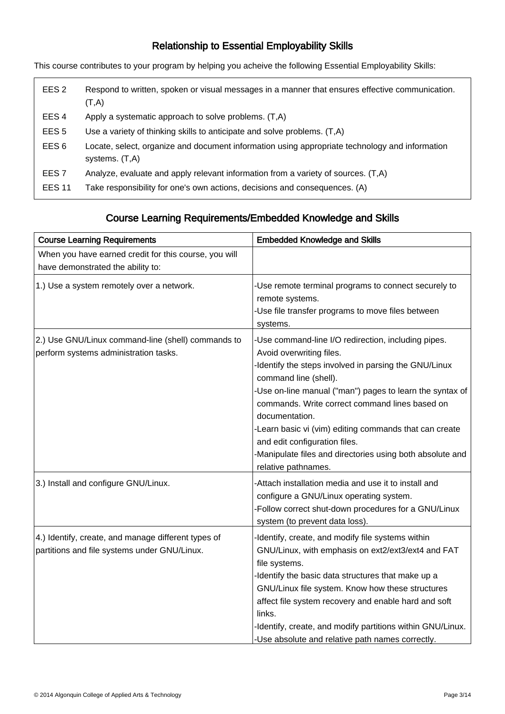#### Relationship to Essential Employability Skills Ì

This course contributes to your program by helping you acheive the following Essential Employability Skills:

| EES <sub>2</sub> | Respond to written, spoken or visual messages in a manner that ensures effective communication.<br>(T,A)           |
|------------------|--------------------------------------------------------------------------------------------------------------------|
| EES <sub>4</sub> | Apply a systematic approach to solve problems. (T,A)                                                               |
| EES <sub>5</sub> | Use a variety of thinking skills to anticipate and solve problems. (T,A)                                           |
| EES <sub>6</sub> | Locate, select, organize and document information using appropriate technology and information<br>systems. $(T,A)$ |
| EES <sub>7</sub> | Analyze, evaluate and apply relevant information from a variety of sources. (T,A)                                  |
| <b>EES 11</b>    | Take responsibility for one's own actions, decisions and consequences. (A)                                         |

#### Course Learning Requirements/Embedded Knowledge and Skills ֺ֞֝

| <b>Course Learning Requirements</b>                                                                 | <b>Embedded Knowledge and Skills</b>                                                                                                                                                                                                                                                                                                                                                                                                                                            |
|-----------------------------------------------------------------------------------------------------|---------------------------------------------------------------------------------------------------------------------------------------------------------------------------------------------------------------------------------------------------------------------------------------------------------------------------------------------------------------------------------------------------------------------------------------------------------------------------------|
| When you have earned credit for this course, you will<br>have demonstrated the ability to:          |                                                                                                                                                                                                                                                                                                                                                                                                                                                                                 |
| 1.) Use a system remotely over a network.                                                           | -Use remote terminal programs to connect securely to<br>remote systems.<br>-Use file transfer programs to move files between<br>systems.                                                                                                                                                                                                                                                                                                                                        |
| 2.) Use GNU/Linux command-line (shell) commands to<br>perform systems administration tasks.         | -Use command-line I/O redirection, including pipes.<br>Avoid overwriting files.<br>Identify the steps involved in parsing the GNU/Linux<br>command line (shell).<br>-Use on-line manual ("man") pages to learn the syntax of<br>commands. Write correct command lines based on<br>documentation.<br>-Learn basic vi (vim) editing commands that can create<br>and edit configuration files.<br>-Manipulate files and directories using both absolute and<br>relative pathnames. |
| 3.) Install and configure GNU/Linux.                                                                | -Attach installation media and use it to install and<br>configure a GNU/Linux operating system.<br>-Follow correct shut-down procedures for a GNU/Linux<br>system (to prevent data loss).                                                                                                                                                                                                                                                                                       |
| 4.) Identify, create, and manage different types of<br>partitions and file systems under GNU/Linux. | -Identify, create, and modify file systems within<br>GNU/Linux, with emphasis on ext2/ext3/ext4 and FAT<br>file systems.<br>-Identify the basic data structures that make up a<br>GNU/Linux file system. Know how these structures<br>affect file system recovery and enable hard and soft<br>links.<br>-Identify, create, and modify partitions within GNU/Linux.<br>-Use absolute and relative path names correctly.                                                          |

ـا<br>ا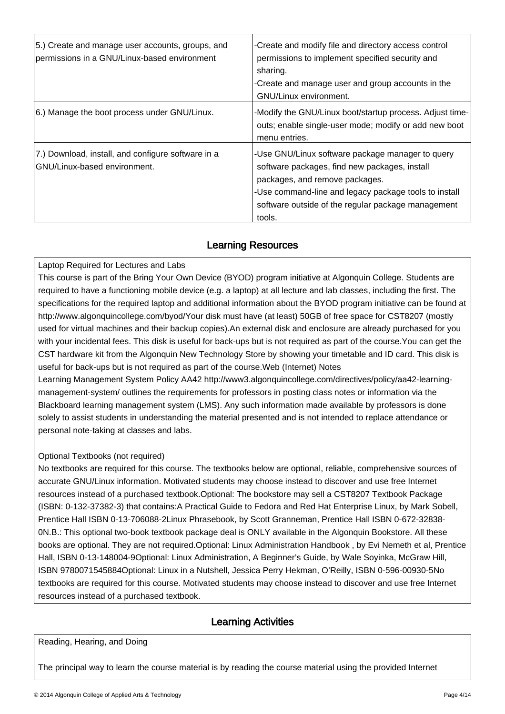| 5.) Create and manage user accounts, groups, and<br>permissions in a GNU/Linux-based environment | -Create and modify file and directory access control<br>permissions to implement specified security and<br>sharing.<br>-Create and manage user and group accounts in the<br><b>GNU/Linux environment.</b>                                                    |
|--------------------------------------------------------------------------------------------------|--------------------------------------------------------------------------------------------------------------------------------------------------------------------------------------------------------------------------------------------------------------|
| 6.) Manage the boot process under GNU/Linux.                                                     | -Modify the GNU/Linux boot/startup process. Adjust time-<br>outs; enable single-user mode; modify or add new boot<br>menu entries.                                                                                                                           |
| 7.) Download, install, and configure software in a<br>GNU/Linux-based environment.               | -Use GNU/Linux software package manager to query<br>software packages, find new packages, install<br>packages, and remove packages.<br>-Use command-line and legacy package tools to install<br>software outside of the regular package management<br>tools. |

#### Learning Resources I,

Laptop Required for Lectures and Labs

This course is part of the Bring Your Own Device (BYOD) program initiative at Algonquin College. Students are required to have a functioning mobile device (e.g. a laptop) at all lecture and lab classes, including the first. The specifications for the required laptop and additional information about the BYOD program initiative can be found at http://www.algonquincollege.com/byod/Your disk must have (at least) 50GB of free space for CST8207 (mostly used for virtual machines and their backup copies).An external disk and enclosure are already purchased for you with your incidental fees. This disk is useful for back-ups but is not required as part of the course.You can get the CST hardware kit from the Algonquin New Technology Store by showing your timetable and ID card. This disk is useful for back-ups but is not required as part of the course.Web (Internet) Notes

Learning Management System Policy AA42 http://www3.algonquincollege.com/directives/policy/aa42-learningmanagement-system/ outlines the requirements for professors in posting class notes or information via the Blackboard learning management system (LMS). Any such information made available by professors is done solely to assist students in understanding the material presented and is not intended to replace attendance or personal note-taking at classes and labs.

## Optional Textbooks (not required)

No textbooks are required for this course. The textbooks below are optional, reliable, comprehensive sources of accurate GNU/Linux information. Motivated students may choose instead to discover and use free Internet resources instead of a purchased textbook.Optional: The bookstore may sell a CST8207 Textbook Package (ISBN: 0-132-37382-3) that contains:A Practical Guide to Fedora and Red Hat Enterprise Linux, by Mark Sobell, Prentice Hall ISBN 0-13-706088-2Linux Phrasebook, by Scott Granneman, Prentice Hall ISBN 0-672-32838- 0N.B.: This optional two-book textbook package deal is ONLY available in the Algonquin Bookstore. All these books are optional. They are not required.Optional: Linux Administration Handbook , by Evi Nemeth et al, Prentice Hall, ISBN 0-13-148004-9Optional: Linux Administration, A Beginner's Guide, by Wale Soyinka, McGraw Hill, ISBN 9780071545884Optional: Linux in a Nutshell, Jessica Perry Hekman, O'Reilly, ISBN 0-596-00930-5No textbooks are required for this course. Motivated students may choose instead to discover and use free Internet resources instead of a purchased textbook.

#### Learning Activities I

Reading, Hearing, and Doing

ـا<br>ا

The principal way to learn the course material is by reading the course material using the provided Internet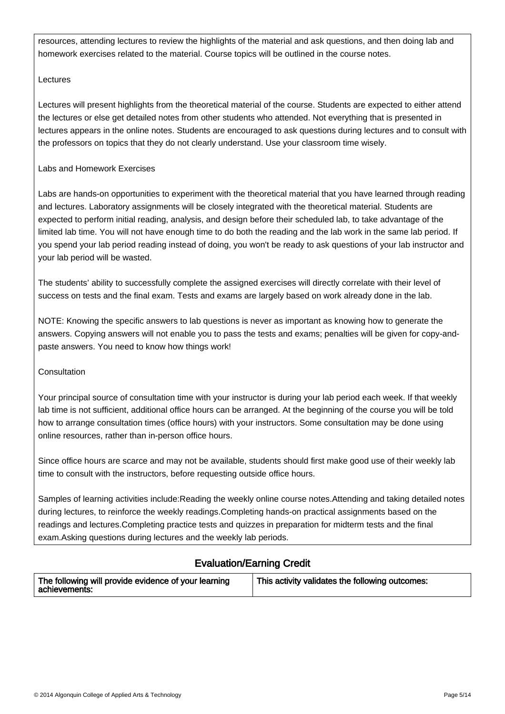resources, attending lectures to review the highlights of the material and ask questions, and then doing lab and homework exercises related to the material. Course topics will be outlined in the course notes.

### Lectures

Lectures will present highlights from the theoretical material of the course. Students are expected to either attend the lectures or else get detailed notes from other students who attended. Not everything that is presented in lectures appears in the online notes. Students are encouraged to ask questions during lectures and to consult with the professors on topics that they do not clearly understand. Use your classroom time wisely.

#### Labs and Homework Exercises

Labs are hands-on opportunities to experiment with the theoretical material that you have learned through reading and lectures. Laboratory assignments will be closely integrated with the theoretical material. Students are expected to perform initial reading, analysis, and design before their scheduled lab, to take advantage of the limited lab time. You will not have enough time to do both the reading and the lab work in the same lab period. If you spend your lab period reading instead of doing, you won't be ready to ask questions of your lab instructor and your lab period will be wasted.

The students' ability to successfully complete the assigned exercises will directly correlate with their level of success on tests and the final exam. Tests and exams are largely based on work already done in the lab.

NOTE: Knowing the specific answers to lab questions is never as important as knowing how to generate the answers. Copying answers will not enable you to pass the tests and exams; penalties will be given for copy-andpaste answers. You need to know how things work!

## Consultation

İ

Your principal source of consultation time with your instructor is during your lab period each week. If that weekly lab time is not sufficient, additional office hours can be arranged. At the beginning of the course you will be told how to arrange consultation times (office hours) with your instructors. Some consultation may be done using online resources, rather than in-person office hours.

Since office hours are scarce and may not be available, students should first make good use of their weekly lab time to consult with the instructors, before requesting outside office hours.

Samples of learning activities include:Reading the weekly online course notes.Attending and taking detailed notes during lectures, to reinforce the weekly readings.Completing hands-on practical assignments based on the readings and lectures.Completing practice tests and quizzes in preparation for midterm tests and the final exam.Asking questions during lectures and the weekly lab periods.

#### Evaluation/Earning Credit .<br>۳

| The following will provide evidence of your learning<br>achievements: | This activity validates the following outcomes: |
|-----------------------------------------------------------------------|-------------------------------------------------|
|-----------------------------------------------------------------------|-------------------------------------------------|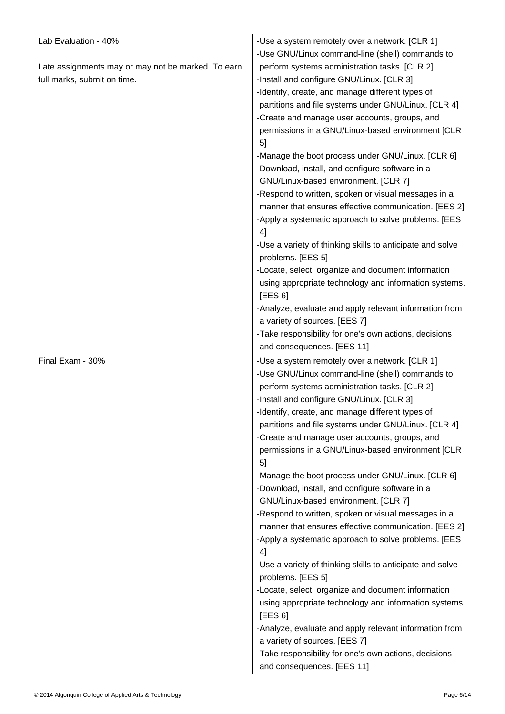| Lab Evaluation - 40%<br>Late assignments may or may not be marked. To earn<br>full marks, submit on time. | -Use a system remotely over a network. [CLR 1]<br>-Use GNU/Linux command-line (shell) commands to<br>perform systems administration tasks. [CLR 2]<br>-Install and configure GNU/Linux. [CLR 3]                                                                                                                                                              |
|-----------------------------------------------------------------------------------------------------------|--------------------------------------------------------------------------------------------------------------------------------------------------------------------------------------------------------------------------------------------------------------------------------------------------------------------------------------------------------------|
|                                                                                                           | -Identify, create, and manage different types of<br>partitions and file systems under GNU/Linux. [CLR 4]<br>-Create and manage user accounts, groups, and<br>permissions in a GNU/Linux-based environment [CLR<br>5 <sub>l</sub><br>-Manage the boot process under GNU/Linux. [CLR 6]<br>-Download, install, and configure software in a                     |
|                                                                                                           | GNU/Linux-based environment. [CLR 7]                                                                                                                                                                                                                                                                                                                         |
|                                                                                                           | -Respond to written, spoken or visual messages in a<br>manner that ensures effective communication. [EES 2]<br>-Apply a systematic approach to solve problems. [EES<br>4                                                                                                                                                                                     |
|                                                                                                           | -Use a variety of thinking skills to anticipate and solve<br>problems. [EES 5]                                                                                                                                                                                                                                                                               |
|                                                                                                           | -Locate, select, organize and document information<br>using appropriate technology and information systems.<br>[EES 6]                                                                                                                                                                                                                                       |
|                                                                                                           | -Analyze, evaluate and apply relevant information from                                                                                                                                                                                                                                                                                                       |
|                                                                                                           | a variety of sources. [EES 7]<br>-Take responsibility for one's own actions, decisions                                                                                                                                                                                                                                                                       |
|                                                                                                           | and consequences. [EES 11]                                                                                                                                                                                                                                                                                                                                   |
|                                                                                                           |                                                                                                                                                                                                                                                                                                                                                              |
| Final Exam - 30%                                                                                          | -Use a system remotely over a network. [CLR 1]<br>-Use GNU/Linux command-line (shell) commands to<br>perform systems administration tasks. [CLR 2]<br>-Install and configure GNU/Linux. [CLR 3]<br>-Identify, create, and manage different types of<br>partitions and file systems under GNU/Linux. [CLR 4]<br>-Create and manage user accounts, groups, and |
|                                                                                                           | permissions in a GNU/Linux-based environment [CLR<br>5                                                                                                                                                                                                                                                                                                       |
|                                                                                                           | -Manage the boot process under GNU/Linux. [CLR 6]<br>-Download, install, and configure software in a<br>GNU/Linux-based environment. [CLR 7]                                                                                                                                                                                                                 |
|                                                                                                           | -Respond to written, spoken or visual messages in a<br>manner that ensures effective communication. [EES 2]<br>-Apply a systematic approach to solve problems. [EES<br>4]                                                                                                                                                                                    |
|                                                                                                           | -Use a variety of thinking skills to anticipate and solve                                                                                                                                                                                                                                                                                                    |
|                                                                                                           | problems. [EES 5]<br>-Locate, select, organize and document information                                                                                                                                                                                                                                                                                      |
|                                                                                                           | using appropriate technology and information systems.<br>[EES 6]                                                                                                                                                                                                                                                                                             |
|                                                                                                           | -Analyze, evaluate and apply relevant information from                                                                                                                                                                                                                                                                                                       |
|                                                                                                           | a variety of sources. [EES 7]<br>-Take responsibility for one's own actions, decisions                                                                                                                                                                                                                                                                       |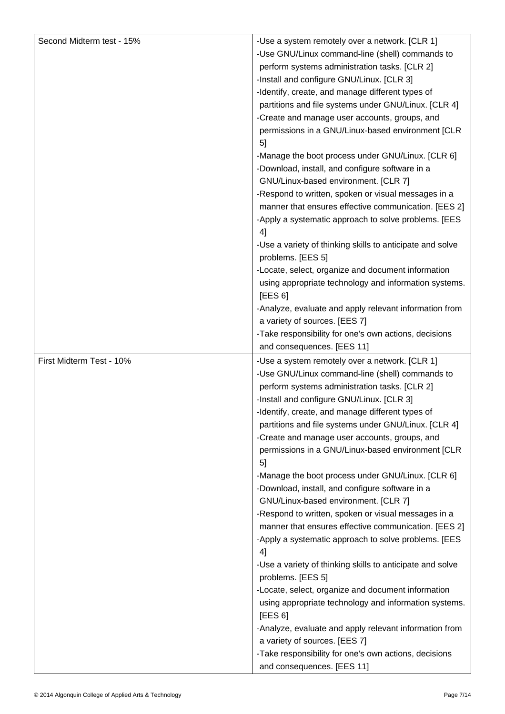| Second Midterm test - 15% | -Use a system remotely over a network. [CLR 1]                                      |
|---------------------------|-------------------------------------------------------------------------------------|
|                           | -Use GNU/Linux command-line (shell) commands to                                     |
|                           | perform systems administration tasks. [CLR 2]                                       |
|                           | -Install and configure GNU/Linux. [CLR 3]                                           |
|                           | -Identify, create, and manage different types of                                    |
|                           | partitions and file systems under GNU/Linux. [CLR 4]                                |
|                           | -Create and manage user accounts, groups, and                                       |
|                           | permissions in a GNU/Linux-based environment [CLR                                   |
|                           | 5 <sub>l</sub>                                                                      |
|                           | -Manage the boot process under GNU/Linux. [CLR 6]                                   |
|                           | -Download, install, and configure software in a                                     |
|                           | GNU/Linux-based environment. [CLR 7]                                                |
|                           | -Respond to written, spoken or visual messages in a                                 |
|                           | manner that ensures effective communication. [EES 2]                                |
|                           | -Apply a systematic approach to solve problems. [EES                                |
|                           | 4]                                                                                  |
|                           | -Use a variety of thinking skills to anticipate and solve                           |
|                           | problems. [EES 5]                                                                   |
|                           | -Locate, select, organize and document information                                  |
|                           | using appropriate technology and information systems.                               |
|                           | [EES 6]                                                                             |
|                           | -Analyze, evaluate and apply relevant information from                              |
|                           | a variety of sources. [EES 7]                                                       |
|                           | -Take responsibility for one's own actions, decisions                               |
|                           | and consequences. [EES 11]                                                          |
|                           |                                                                                     |
| First Midterm Test - 10%  | -Use a system remotely over a network. [CLR 1]                                      |
|                           | -Use GNU/Linux command-line (shell) commands to                                     |
|                           | perform systems administration tasks. [CLR 2]                                       |
|                           | -Install and configure GNU/Linux. [CLR 3]                                           |
|                           | -Identify, create, and manage different types of                                    |
|                           | partitions and file systems under GNU/Linux. [CLR 4]                                |
|                           | -Create and manage user accounts, groups, and                                       |
|                           | permissions in a GNU/Linux-based environment [CLR                                   |
|                           | 51                                                                                  |
|                           | -Manage the boot process under GNU/Linux. [CLR 6]                                   |
|                           | -Download, install, and configure software in a                                     |
|                           | GNU/Linux-based environment. [CLR 7]                                                |
|                           | -Respond to written, spoken or visual messages in a                                 |
|                           | manner that ensures effective communication. [EES 2]                                |
|                           | -Apply a systematic approach to solve problems. [EES                                |
|                           | 4]                                                                                  |
|                           | -Use a variety of thinking skills to anticipate and solve                           |
|                           | problems. [EES 5]                                                                   |
|                           | -Locate, select, organize and document information                                  |
|                           | using appropriate technology and information systems.                               |
|                           | [EES 6]                                                                             |
|                           | -Analyze, evaluate and apply relevant information from                              |
|                           | a variety of sources. [EES 7]                                                       |
|                           | -Take responsibility for one's own actions, decisions<br>and consequences. [EES 11] |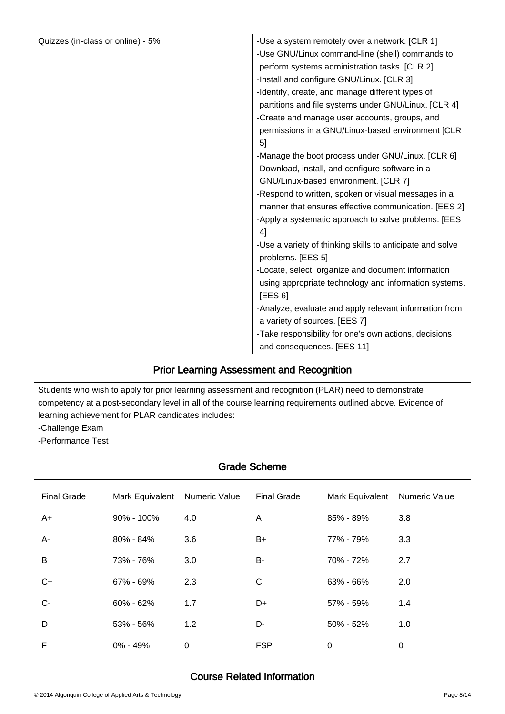| perform systems administration tasks. [CLR 2]<br>-Install and configure GNU/Linux. [CLR 3]<br>-Identify, create, and manage different types of<br>partitions and file systems under GNU/Linux. [CLR 4]<br>-Create and manage user accounts, groups, and<br>permissions in a GNU/Linux-based environment [CLR<br>5 <sub>l</sub><br>-Manage the boot process under GNU/Linux. [CLR 6]<br>-Download, install, and configure software in a<br>GNU/Linux-based environment. [CLR 7]<br>-Respond to written, spoken or visual messages in a<br>manner that ensures effective communication. [EES 2]<br>-Apply a systematic approach to solve problems. [EES<br>4]<br>-Use a variety of thinking skills to anticipate and solve<br>problems. [EES 5]<br>-Locate, select, organize and document information<br>using appropriate technology and information systems.<br>[EES 6]<br>-Analyze, evaluate and apply relevant information from<br>a variety of sources. [EES 7] | Quizzes (in-class or online) - 5% | -Use a system remotely over a network. [CLR 1]        |
|--------------------------------------------------------------------------------------------------------------------------------------------------------------------------------------------------------------------------------------------------------------------------------------------------------------------------------------------------------------------------------------------------------------------------------------------------------------------------------------------------------------------------------------------------------------------------------------------------------------------------------------------------------------------------------------------------------------------------------------------------------------------------------------------------------------------------------------------------------------------------------------------------------------------------------------------------------------------|-----------------------------------|-------------------------------------------------------|
|                                                                                                                                                                                                                                                                                                                                                                                                                                                                                                                                                                                                                                                                                                                                                                                                                                                                                                                                                                    |                                   | -Use GNU/Linux command-line (shell) commands to       |
|                                                                                                                                                                                                                                                                                                                                                                                                                                                                                                                                                                                                                                                                                                                                                                                                                                                                                                                                                                    |                                   |                                                       |
|                                                                                                                                                                                                                                                                                                                                                                                                                                                                                                                                                                                                                                                                                                                                                                                                                                                                                                                                                                    |                                   |                                                       |
|                                                                                                                                                                                                                                                                                                                                                                                                                                                                                                                                                                                                                                                                                                                                                                                                                                                                                                                                                                    |                                   |                                                       |
|                                                                                                                                                                                                                                                                                                                                                                                                                                                                                                                                                                                                                                                                                                                                                                                                                                                                                                                                                                    |                                   |                                                       |
|                                                                                                                                                                                                                                                                                                                                                                                                                                                                                                                                                                                                                                                                                                                                                                                                                                                                                                                                                                    |                                   |                                                       |
|                                                                                                                                                                                                                                                                                                                                                                                                                                                                                                                                                                                                                                                                                                                                                                                                                                                                                                                                                                    |                                   |                                                       |
|                                                                                                                                                                                                                                                                                                                                                                                                                                                                                                                                                                                                                                                                                                                                                                                                                                                                                                                                                                    |                                   |                                                       |
|                                                                                                                                                                                                                                                                                                                                                                                                                                                                                                                                                                                                                                                                                                                                                                                                                                                                                                                                                                    |                                   |                                                       |
|                                                                                                                                                                                                                                                                                                                                                                                                                                                                                                                                                                                                                                                                                                                                                                                                                                                                                                                                                                    |                                   |                                                       |
|                                                                                                                                                                                                                                                                                                                                                                                                                                                                                                                                                                                                                                                                                                                                                                                                                                                                                                                                                                    |                                   |                                                       |
|                                                                                                                                                                                                                                                                                                                                                                                                                                                                                                                                                                                                                                                                                                                                                                                                                                                                                                                                                                    |                                   |                                                       |
|                                                                                                                                                                                                                                                                                                                                                                                                                                                                                                                                                                                                                                                                                                                                                                                                                                                                                                                                                                    |                                   |                                                       |
|                                                                                                                                                                                                                                                                                                                                                                                                                                                                                                                                                                                                                                                                                                                                                                                                                                                                                                                                                                    |                                   |                                                       |
|                                                                                                                                                                                                                                                                                                                                                                                                                                                                                                                                                                                                                                                                                                                                                                                                                                                                                                                                                                    |                                   |                                                       |
|                                                                                                                                                                                                                                                                                                                                                                                                                                                                                                                                                                                                                                                                                                                                                                                                                                                                                                                                                                    |                                   |                                                       |
|                                                                                                                                                                                                                                                                                                                                                                                                                                                                                                                                                                                                                                                                                                                                                                                                                                                                                                                                                                    |                                   |                                                       |
|                                                                                                                                                                                                                                                                                                                                                                                                                                                                                                                                                                                                                                                                                                                                                                                                                                                                                                                                                                    |                                   |                                                       |
|                                                                                                                                                                                                                                                                                                                                                                                                                                                                                                                                                                                                                                                                                                                                                                                                                                                                                                                                                                    |                                   |                                                       |
|                                                                                                                                                                                                                                                                                                                                                                                                                                                                                                                                                                                                                                                                                                                                                                                                                                                                                                                                                                    |                                   |                                                       |
|                                                                                                                                                                                                                                                                                                                                                                                                                                                                                                                                                                                                                                                                                                                                                                                                                                                                                                                                                                    |                                   |                                                       |
|                                                                                                                                                                                                                                                                                                                                                                                                                                                                                                                                                                                                                                                                                                                                                                                                                                                                                                                                                                    |                                   | -Take responsibility for one's own actions, decisions |
| and consequences. [EES 11]                                                                                                                                                                                                                                                                                                                                                                                                                                                                                                                                                                                                                                                                                                                                                                                                                                                                                                                                         |                                   |                                                       |

#### Prior Learning Assessment and Recognition י

Students who wish to apply for prior learning assessment and recognition (PLAR) need to demonstrate competency at a post-secondary level in all of the course learning requirements outlined above. Evidence of learning achievement for PLAR candidates includes:

-Challenge Exam

-Performance Test

ـا<br>ا

İ

#### Grade Scheme ٦

| <b>Final Grade</b> | Mark Equivalent | Numeric Value | <b>Final Grade</b> | Mark Equivalent | <b>Numeric Value</b> |
|--------------------|-----------------|---------------|--------------------|-----------------|----------------------|
| A+                 | $90\% - 100\%$  | 4.0           | A                  | 85% - 89%       | 3.8                  |
| A-                 | 80% - 84%       | 3.6           | B+                 | 77% - 79%       | 3.3                  |
| B                  | 73% - 76%       | 3.0           | B-                 | 70% - 72%       | 2.7                  |
| C+                 | 67% - 69%       | 2.3           | C                  | 63% - 66%       | 2.0                  |
| $C -$              | $60\% - 62\%$   | 1.7           | D+                 | 57% - 59%       | 1.4                  |
| D                  | 53% - 56%       | 1.2           | D-                 | $50\% - 52\%$   | 1.0                  |
| F                  | $0\% - 49\%$    | 0             | <b>FSP</b>         | $\mathbf 0$     | 0                    |

## Course Related Information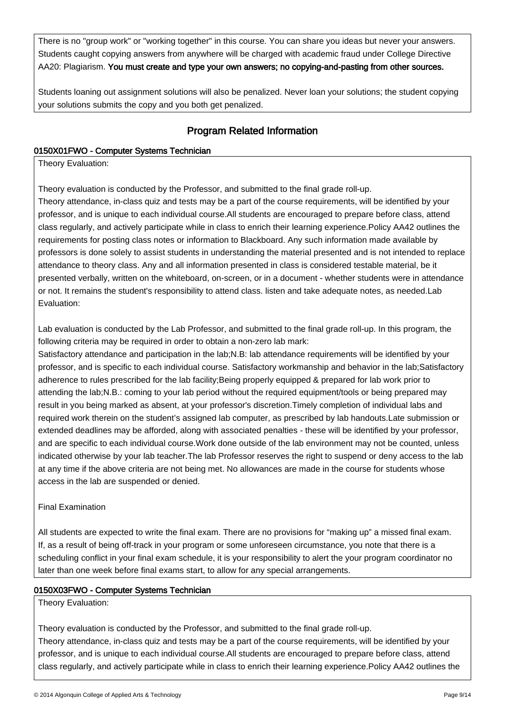There is no "group work" or "working together" in this course. You can share you ideas but never your answers. Students caught copying answers from anywhere will be charged with academic fraud under College Directive AA20: Plagiarism. You must create and type your own answers; no copying-and-pasting from other sources.

Students loaning out assignment solutions will also be penalized. Never loan your solutions; the student copying your solutions submits the copy and you both get penalized.

#### Program Related Information Ï

## 0150X01FWO - Computer Systems Technician

Theory Evaluation:

İ

Theory evaluation is conducted by the Professor, and submitted to the final grade roll-up.

Theory attendance, in-class quiz and tests may be a part of the course requirements, will be identified by your professor, and is unique to each individual course.All students are encouraged to prepare before class, attend class regularly, and actively participate while in class to enrich their learning experience.Policy AA42 outlines the requirements for posting class notes or information to Blackboard. Any such information made available by professors is done solely to assist students in understanding the material presented and is not intended to replace attendance to theory class. Any and all information presented in class is considered testable material, be it presented verbally, written on the whiteboard, on-screen, or in a document - whether students were in attendance or not. It remains the student's responsibility to attend class. listen and take adequate notes, as needed.Lab Evaluation:

Lab evaluation is conducted by the Lab Professor, and submitted to the final grade roll-up. In this program, the following criteria may be required in order to obtain a non-zero lab mark:

Satisfactory attendance and participation in the lab;N.B: lab attendance requirements will be identified by your professor, and is specific to each individual course. Satisfactory workmanship and behavior in the lab;Satisfactory adherence to rules prescribed for the lab facility; Being properly equipped & prepared for lab work prior to attending the lab;N.B.: coming to your lab period without the required equipment/tools or being prepared may result in you being marked as absent, at your professor's discretion.Timely completion of individual labs and required work therein on the student's assigned lab computer, as prescribed by lab handouts.Late submission or extended deadlines may be afforded, along with associated penalties - these will be identified by your professor, and are specific to each individual course.Work done outside of the lab environment may not be counted, unless indicated otherwise by your lab teacher.The lab Professor reserves the right to suspend or deny access to the lab at any time if the above criteria are not being met. No allowances are made in the course for students whose access in the lab are suspended or denied.

## Final Examination

All students are expected to write the final exam. There are no provisions for "making up" a missed final exam. If, as a result of being off-track in your program or some unforeseen circumstance, you note that there is a scheduling conflict in your final exam schedule, it is your responsibility to alert the your program coordinator no later than one week before final exams start, to allow for any special arrangements.

## 0150X03FWO - Computer Systems Technician

Theory Evaluation:

Theory evaluation is conducted by the Professor, and submitted to the final grade roll-up. Theory attendance, in-class quiz and tests may be a part of the course requirements, will be identified by your professor, and is unique to each individual course.All students are encouraged to prepare before class, attend class regularly, and actively participate while in class to enrich their learning experience.Policy AA42 outlines the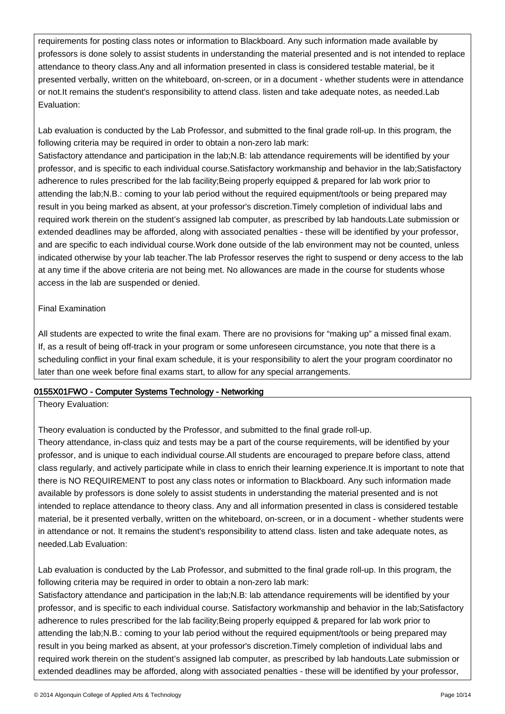requirements for posting class notes or information to Blackboard. Any such information made available by professors is done solely to assist students in understanding the material presented and is not intended to replace attendance to theory class.Any and all information presented in class is considered testable material, be it presented verbally, written on the whiteboard, on-screen, or in a document - whether students were in attendance or not.It remains the student's responsibility to attend class. listen and take adequate notes, as needed.Lab Evaluation:

Lab evaluation is conducted by the Lab Professor, and submitted to the final grade roll-up. In this program, the following criteria may be required in order to obtain a non-zero lab mark:

Satisfactory attendance and participation in the lab;N.B: lab attendance requirements will be identified by your professor, and is specific to each individual course.Satisfactory workmanship and behavior in the lab;Satisfactory adherence to rules prescribed for the lab facility;Being properly equipped & prepared for lab work prior to attending the lab;N.B.: coming to your lab period without the required equipment/tools or being prepared may result in you being marked as absent, at your professor's discretion.Timely completion of individual labs and required work therein on the student's assigned lab computer, as prescribed by lab handouts.Late submission or extended deadlines may be afforded, along with associated penalties - these will be identified by your professor, and are specific to each individual course.Work done outside of the lab environment may not be counted, unless indicated otherwise by your lab teacher.The lab Professor reserves the right to suspend or deny access to the lab at any time if the above criteria are not being met. No allowances are made in the course for students whose access in the lab are suspended or denied.

#### Final Examination

All students are expected to write the final exam. There are no provisions for "making up" a missed final exam. If, as a result of being off-track in your program or some unforeseen circumstance, you note that there is a scheduling conflict in your final exam schedule, it is your responsibility to alert the your program coordinator no later than one week before final exams start, to allow for any special arrangements.

## 0155X01FWO - Computer Systems Technology - Networking

Theory Evaluation:

Theory evaluation is conducted by the Professor, and submitted to the final grade roll-up.

Theory attendance, in-class quiz and tests may be a part of the course requirements, will be identified by your professor, and is unique to each individual course.All students are encouraged to prepare before class, attend class regularly, and actively participate while in class to enrich their learning experience.It is important to note that there is NO REQUIREMENT to post any class notes or information to Blackboard. Any such information made available by professors is done solely to assist students in understanding the material presented and is not intended to replace attendance to theory class. Any and all information presented in class is considered testable material, be it presented verbally, written on the whiteboard, on-screen, or in a document - whether students were in attendance or not. It remains the student's responsibility to attend class. listen and take adequate notes, as needed.Lab Evaluation:

Lab evaluation is conducted by the Lab Professor, and submitted to the final grade roll-up. In this program, the following criteria may be required in order to obtain a non-zero lab mark:

Satisfactory attendance and participation in the lab;N.B: lab attendance requirements will be identified by your professor, and is specific to each individual course. Satisfactory workmanship and behavior in the lab;Satisfactory adherence to rules prescribed for the lab facility;Being properly equipped & prepared for lab work prior to attending the lab;N.B.: coming to your lab period without the required equipment/tools or being prepared may result in you being marked as absent, at your professor's discretion.Timely completion of individual labs and required work therein on the student's assigned lab computer, as prescribed by lab handouts.Late submission or extended deadlines may be afforded, along with associated penalties - these will be identified by your professor,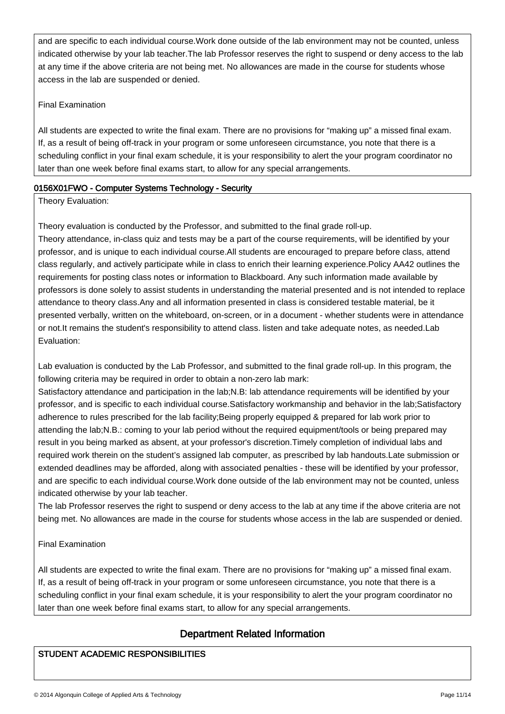and are specific to each individual course.Work done outside of the lab environment may not be counted, unless indicated otherwise by your lab teacher.The lab Professor reserves the right to suspend or deny access to the lab at any time if the above criteria are not being met. No allowances are made in the course for students whose access in the lab are suspended or denied.

### Final Examination

All students are expected to write the final exam. There are no provisions for "making up" a missed final exam. If, as a result of being off-track in your program or some unforeseen circumstance, you note that there is a scheduling conflict in your final exam schedule, it is your responsibility to alert the your program coordinator no later than one week before final exams start, to allow for any special arrangements.

## 0156X01FWO - Computer Systems Technology - Security

Theory Evaluation:

Theory evaluation is conducted by the Professor, and submitted to the final grade roll-up.

Theory attendance, in-class quiz and tests may be a part of the course requirements, will be identified by your professor, and is unique to each individual course.All students are encouraged to prepare before class, attend class regularly, and actively participate while in class to enrich their learning experience.Policy AA42 outlines the requirements for posting class notes or information to Blackboard. Any such information made available by professors is done solely to assist students in understanding the material presented and is not intended to replace attendance to theory class.Any and all information presented in class is considered testable material, be it presented verbally, written on the whiteboard, on-screen, or in a document - whether students were in attendance or not.It remains the student's responsibility to attend class. listen and take adequate notes, as needed.Lab Evaluation:

Lab evaluation is conducted by the Lab Professor, and submitted to the final grade roll-up. In this program, the following criteria may be required in order to obtain a non-zero lab mark:

Satisfactory attendance and participation in the lab;N.B: lab attendance requirements will be identified by your professor, and is specific to each individual course.Satisfactory workmanship and behavior in the lab;Satisfactory adherence to rules prescribed for the lab facility;Being properly equipped & prepared for lab work prior to attending the lab;N.B.: coming to your lab period without the required equipment/tools or being prepared may result in you being marked as absent, at your professor's discretion.Timely completion of individual labs and required work therein on the student's assigned lab computer, as prescribed by lab handouts.Late submission or extended deadlines may be afforded, along with associated penalties - these will be identified by your professor, and are specific to each individual course.Work done outside of the lab environment may not be counted, unless indicated otherwise by your lab teacher.

The lab Professor reserves the right to suspend or deny access to the lab at any time if the above criteria are not being met. No allowances are made in the course for students whose access in the lab are suspended or denied.

#### Final Examination

ـا<br>ا

All students are expected to write the final exam. There are no provisions for "making up" a missed final exam. If, as a result of being off-track in your program or some unforeseen circumstance, you note that there is a scheduling conflict in your final exam schedule, it is your responsibility to alert the your program coordinator no later than one week before final exams start, to allow for any special arrangements.

#### Department Related Information Ì

## STUDENT ACADEMIC RESPONSIBILITIES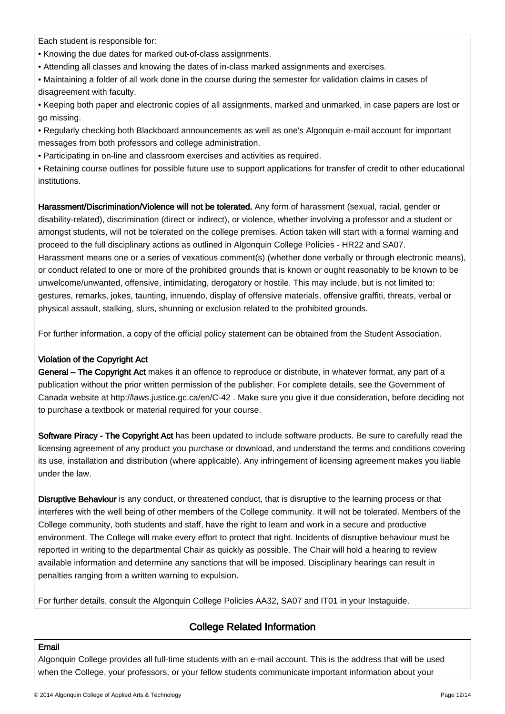Each student is responsible for:

- Knowing the due dates for marked out-of-class assignments.
- Attending all classes and knowing the dates of in-class marked assignments and exercises.
- Maintaining a folder of all work done in the course during the semester for validation claims in cases of disagreement with faculty.
- Keeping both paper and electronic copies of all assignments, marked and unmarked, in case papers are lost or go missing.
- Regularly checking both Blackboard announcements as well as one's Algonquin e-mail account for important messages from both professors and college administration.
- Participating in on-line and classroom exercises and activities as required.
- Retaining course outlines for possible future use to support applications for transfer of credit to other educational institutions.

Harassment/Discrimination/Violence will not be tolerated. Any form of harassment (sexual, racial, gender or disability-related), discrimination (direct or indirect), or violence, whether involving a professor and a student or amongst students, will not be tolerated on the college premises. Action taken will start with a formal warning and proceed to the full disciplinary actions as outlined in Algonquin College Policies - HR22 and SA07. Harassment means one or a series of vexatious comment(s) (whether done verbally or through electronic means), or conduct related to one or more of the prohibited grounds that is known or ought reasonably to be known to be unwelcome/unwanted, offensive, intimidating, derogatory or hostile. This may include, but is not limited to: gestures, remarks, jokes, taunting, innuendo, display of offensive materials, offensive graffiti, threats, verbal or physical assault, stalking, slurs, shunning or exclusion related to the prohibited grounds.

For further information, a copy of the official policy statement can be obtained from the Student Association.

## Violation of the Copyright Act

General – The Copyright Act makes it an offence to reproduce or distribute, in whatever format, any part of a publication without the prior written permission of the publisher. For complete details, see the Government of Canada website at http://laws.justice.gc.ca/en/C-42 . Make sure you give it due consideration, before deciding not to purchase a textbook or material required for your course.

Software Piracy - The Copyright Act has been updated to include software products. Be sure to carefully read the licensing agreement of any product you purchase or download, and understand the terms and conditions covering its use, installation and distribution (where applicable). Any infringement of licensing agreement makes you liable under the law.

Disruptive Behaviour is any conduct, or threatened conduct, that is disruptive to the learning process or that interferes with the well being of other members of the College community. It will not be tolerated. Members of the College community, both students and staff, have the right to learn and work in a secure and productive environment. The College will make every effort to protect that right. Incidents of disruptive behaviour must be reported in writing to the departmental Chair as quickly as possible. The Chair will hold a hearing to review available information and determine any sanctions that will be imposed. Disciplinary hearings can result in penalties ranging from a written warning to expulsion.

For further details, consult the Algonquin College Policies AA32, SA07 and IT01 in your Instaguide.

#### College Related Information Ì

## Email

ـا<br>ا

Algonquin College provides all full-time students with an e-mail account. This is the address that will be used when the College, your professors, or your fellow students communicate important information about your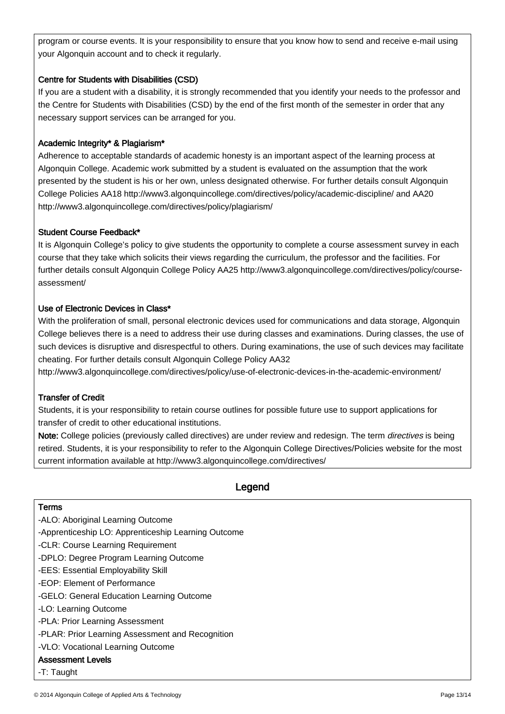program or course events. It is your responsibility to ensure that you know how to send and receive e-mail using your Algonquin account and to check it regularly.

## Centre for Students with Disabilities (CSD)

If you are a student with a disability, it is strongly recommended that you identify your needs to the professor and the Centre for Students with Disabilities (CSD) by the end of the first month of the semester in order that any necessary support services can be arranged for you.

#### Academic Integrity\* & Plagiarism\*

Adherence to acceptable standards of academic honesty is an important aspect of the learning process at Algonquin College. Academic work submitted by a student is evaluated on the assumption that the work presented by the student is his or her own, unless designated otherwise. For further details consult Algonquin College Policies AA18 http://www3.algonquincollege.com/directives/policy/academic-discipline/ and AA20 http://www3.algonquincollege.com/directives/policy/plagiarism/

#### Student Course Feedback\*

It is Algonquin College's policy to give students the opportunity to complete a course assessment survey in each course that they take which solicits their views regarding the curriculum, the professor and the facilities. For further details consult Algonquin College Policy AA25 http://www3.algonquincollege.com/directives/policy/courseassessment/

#### Use of Electronic Devices in Class\*

With the proliferation of small, personal electronic devices used for communications and data storage, Algonquin College believes there is a need to address their use during classes and examinations. During classes, the use of such devices is disruptive and disrespectful to others. During examinations, the use of such devices may facilitate cheating. For further details consult Algonquin College Policy AA32

http://www3.algonquincollege.com/directives/policy/use-of-electronic-devices-in-the-academic-environment/

#### Transfer of Credit

Students, it is your responsibility to retain course outlines for possible future use to support applications for transfer of credit to other educational institutions.

Note: College policies (previously called directives) are under review and redesign. The term *directives* is being retired. Students, it is your responsibility to refer to the Algonquin College Directives/Policies website for the most current information available at http://www3.algonquincollege.com/directives/

#### Legend ľ

#### Terms

ـا<br>ا

-ALO: Aboriginal Learning Outcome

- -Apprenticeship LO: Apprenticeship Learning Outcome
- -CLR: Course Learning Requirement
- -DPLO: Degree Program Learning Outcome
- -EES: Essential Employability Skill
- -EOP: Element of Performance
- -GELO: General Education Learning Outcome
- -LO: Learning Outcome
- -PLA: Prior Learning Assessment
- -PLAR: Prior Learning Assessment and Recognition
- -VLO: Vocational Learning Outcome

#### Assessment Levels

-T: Taught